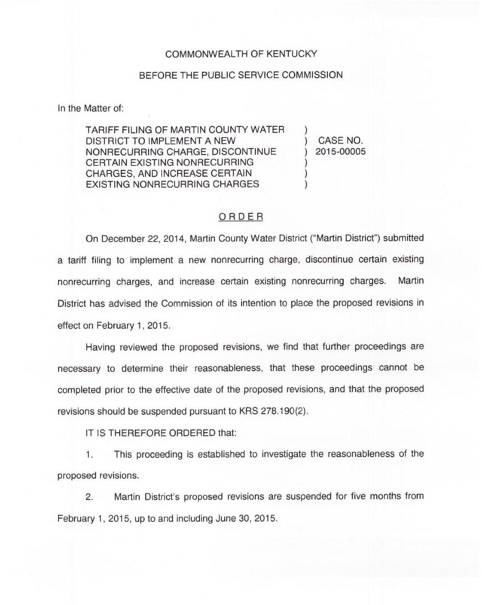## COMMONWEALTH OF KENTUCKY

## BEFORE THE PUBLIC SERVICE COMMISSION

In the Matter of:

TARIFF FILING OF MARTIN COUNTY WATER DISTRICT TO IMPLEMENT A NEW NONRECURRING CHARGE, DISCONTINUE CERTAIN EXISTING NONRECURRING CHARGES, AND INCREASE CERTAIN EXISTING NONRECURRING CHARGES

) CASE NO. ) 2015-00005

)

) ) )

## ORDER

On December 22, 2014, Martin County Water District ("Martin District") submitte a tariff filing to implement a new nonrecurring charge, discontinue certain existing nonrecurring charges, and increase certain existing nonrecurring charges. Martin District has advised the Commission of its intention to place the proposed revisions in effect on February 1, 2015.

Having reviewed the proposed revisions, we find that further proceedings are necessary to determine their reasonableness, that these proceedings cannot be completed prior to the effective date of the proposed revisions, and that the proposed revisions should be suspended pursuant to KRS 278.190(2).

IT IS THEREFORE ORDERED that:

1. This proceeding is established to investigate the reasonableness of the proposed revisions.

2. Martin District's proposed revisions are suspended for five months from February 1, 2015, up to and including June 30, 2015.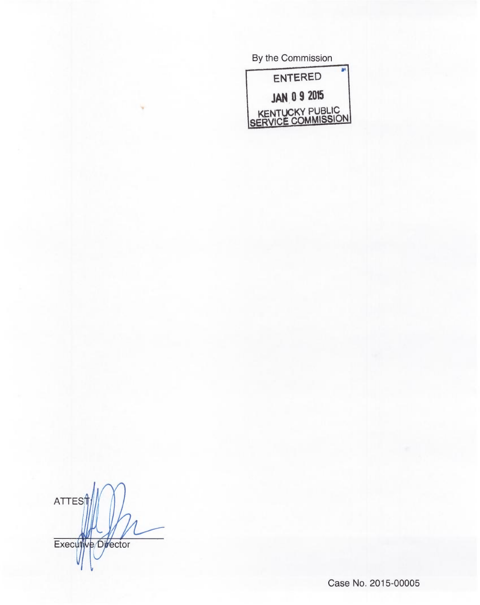| By the Commission                     |
|---------------------------------------|
| <b>ENTERED</b>                        |
| <b>JAN 0 9 2015</b>                   |
| KENTUCKY PUBLIC<br>SERVICE COMMISSION |
|                                       |

ATTEST

Case No. 2015-00005